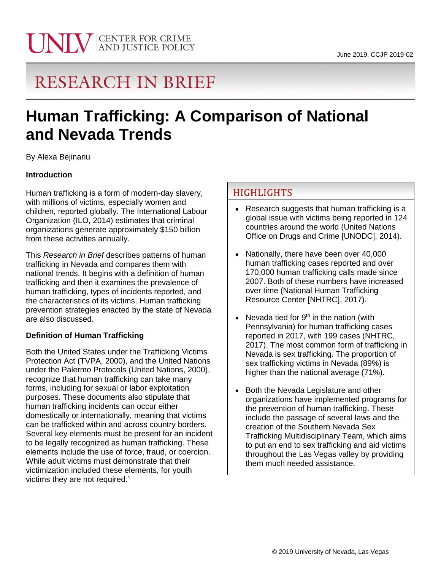

# **RESEARCH IN BRIEF**

# **Human Trafficking: A Comparison of National and Nevada Trends**

By Alexa Bejinariu

### **Introduction**

Human trafficking is a form of modern-day slavery, with millions of victims, especially women and children, reported globally. The International Labour Organization (ILO, 2014) estimates that criminal organizations generate approximately \$150 billion from these activities annually.

This *Research in Brief* describes patterns of human trafficking in Nevada and compares them with national trends. It begins with a definition of human trafficking and then it examines the prevalence of human trafficking, types of incidents reported, and the characteristics of its victims. Human trafficking prevention strategies enacted by the state of Nevada are also discussed.

### **Definition of Human Trafficking**

Both the United States under the Trafficking Victims Protection Act (TVPA, 2000), and the United Nations under the Palermo Protocols (United Nations, 2000), recognize that human trafficking can take many forms, including for sexual or labor exploitation purposes. These documents also stipulate that human trafficking incidents can occur either domestically or internationally, meaning that victims can be trafficked within and across country borders. Several key elements must be present for an incident to be legally recognized as human trafficking. These elements include the use of force, fraud, or coercion. While adult victims must demonstrate that their victimization included these elements, for youth victims they are not required.<sup>1</sup>

# **HIGHLIGHTS**

- Research suggests that human trafficking is a global issue with victims being reported in 124 countries around the world (United Nations Office on Drugs and Crime [UNODC], 2014).
- Nationally, there have been over 40,000 human trafficking cases reported and over 170,000 human trafficking calls made since 2007. Both of these numbers have increased over time (National Human Trafficking Resource Center [NHTRC], 2017).
- Nevada tied for 9<sup>th</sup> in the nation (with Pennsylvania) for human trafficking cases reported in 2017, with 199 cases (NHTRC, 2017). The most common form of trafficking in Nevada is sex trafficking. The proportion of sex trafficking victims in Nevada (89%) is higher than the national average (71%).
- Both the Nevada Legislature and other organizations have implemented programs for the prevention of human trafficking. These include the passage of several laws and the creation of the Southern Nevada Sex Trafficking Multidisciplinary Team, which aims to put an end to sex trafficking and aid victims throughout the Las Vegas valley by providing them much needed assistance.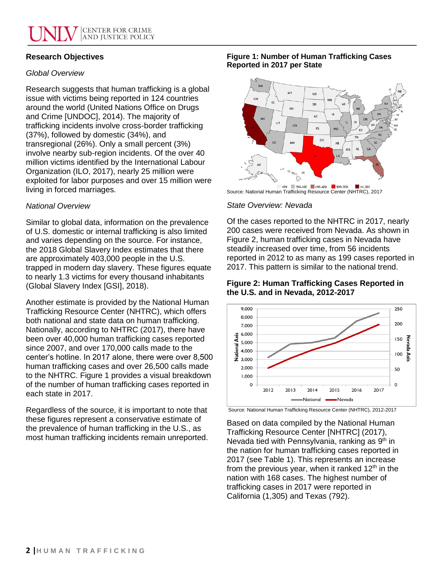## **Research Objectives**

## *Global Overview*

Research suggests that human trafficking is a global issue with victims being reported in 124 countries around the world (United Nations Office on Drugs and Crime [UNDOC], 2014). The majority of trafficking incidents involve cross-border trafficking (37%), followed by domestic (34%), and transregional (26%). Only a small percent (3%) involve nearby sub-region incidents. Of the over 40 million victims identified by the International Labour Organization (ILO, 2017), nearly 25 million were exploited for labor purposes and over 15 million were living in forced marriages.

### *National Overview*

Similar to global data, information on the prevalence of U.S. domestic or internal trafficking is also limited and varies depending on the source. For instance, the 2018 Global Slavery Index estimates that there are approximately 403,000 people in the U.S. trapped in modern day slavery. These figures equate to nearly 1.3 victims for every thousand inhabitants (Global Slavery Index [GSI], 2018).

Another estimate is provided by the National Human Trafficking Resource Center (NHTRC), which offers both national and state data on human trafficking. Nationally, according to NHTRC (2017), there have been over 40,000 human trafficking cases reported since 2007, and over 170,000 calls made to the center's hotline. In 2017 alone, there were over 8,500 human trafficking cases and over 26,500 calls made to the NHTRC. Figure 1 provides a visual breakdown of the number of human trafficking cases reported in each state in 2017.

Regardless of the source, it is important to note that these figures represent a conservative estimate of the prevalence of human trafficking in the U.S., as most human trafficking incidents remain unreported.

#### **Figure 1: Number of Human Trafficking Cases Reported in 2017 per State**



Source: National Human Trafficking Resource Center (NHTRC), 2017

### *State Overview: Nevada*

Of the cases reported to the NHTRC in 2017, nearly 200 cases were received from Nevada. As shown in Figure 2, human trafficking cases in Nevada have steadily increased over time, from 56 incidents reported in 2012 to as many as 199 cases reported in 2017. This pattern is similar to the national trend.

**Figure 2: Human Trafficking Cases Reported in the U.S. and in Nevada, 2012-2017**



Source: National Human Trafficking Resource Center (NHTRC), 2012-2017

Based on data compiled by the National Human Trafficking Resource Center [NHTRC] (2017), Nevada tied with Pennsylvania, ranking as 9<sup>th</sup> in the nation for human trafficking cases reported in 2017 (see Table 1). This represents an increase from the previous year, when it ranked  $12<sup>th</sup>$  in the nation with 168 cases. The highest number of trafficking cases in 2017 were reported in California (1,305) and Texas (792).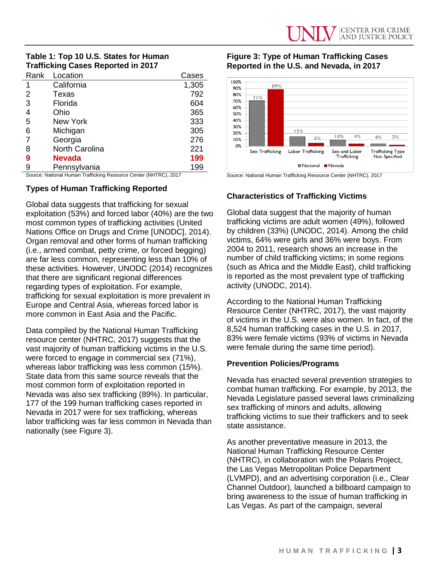## **Table 1: Top 10 U.S. States for Human Trafficking Cases Reported in 2017**

| Rank | Location              | Cases |
|------|-----------------------|-------|
| 1    | California            | 1,305 |
| 2    | Texas                 | 792   |
| 3    | Florida               | 604   |
| 4    | Ohio                  | 365   |
| 5    | New York              | 333   |
| 6    | Michigan              | 305   |
| 7    | Georgia               | 276   |
| 8    | <b>North Carolina</b> | 221   |
| 9    | <b>Nevada</b>         | 199   |
| 9    | Pennsylvania          | 199   |

Source: National Human Trafficking Resource Center (NHTRC), 2017

#### **Types of Human Trafficking Reported**

Global data suggests that trafficking for sexual exploitation (53%) and forced labor (40%) are the two most common types of trafficking activities (United Nations Office on Drugs and Crime [UNODC], 2014). Organ removal and other forms of human trafficking (i.e., armed combat, petty crime, or forced begging) are far less common, representing less than 10% of these activities. However, UNODC (2014) recognizes that there are significant regional differences regarding types of exploitation. For example, trafficking for sexual exploitation is more prevalent in Europe and Central Asia, whereas forced labor is more common in East Asia and the Pacific.

Data compiled by the National Human Trafficking resource center (NHTRC, 2017) suggests that the vast majority of human trafficking victims in the U.S. were forced to engage in commercial sex (71%), whereas labor trafficking was less common (15%). State data from this same source reveals that the most common form of exploitation reported in Nevada was also sex trafficking (89%). In particular, 177 of the 199 human trafficking cases reported in Nevada in 2017 were for sex trafficking, whereas labor trafficking was far less common in Nevada than nationally (see Figure 3).

#### **Figure 3: Type of Human Trafficking Cases Reported in the U.S. and Nevada, in 2017**



Source: National Human Trafficking Resource Center (NHTRC), 2017

### **Characteristics of Trafficking Victims**

Global data suggest that the majority of human trafficking victims are adult women (49%), followed by children (33%) (UNODC, 2014). Among the child victims, 64% were girls and 36% were boys. From 2004 to 2011, research shows an increase in the number of child trafficking victims; in some regions (such as Africa and the Middle East), child trafficking is reported as the most prevalent type of trafficking activity (UNODC, 2014).

According to the National Human Trafficking Resource Center (NHTRC, 2017), the vast majority of victims in the U.S. were also women. In fact, of the 8,524 human trafficking cases in the U.S. in 2017, 83% were female victims (93% of victims in Nevada were female during the same time period).

#### **Prevention Policies/Programs**

Nevada has enacted several prevention strategies to combat human trafficking. For example, by 2013, the Nevada Legislature passed several laws criminalizing sex trafficking of minors and adults, allowing trafficking victims to sue their traffickers and to seek state assistance.

As another preventative measure in 2013, the National Human Trafficking Resource Center (NHTRC), in collaboration with the Polaris Project, the Las Vegas Metropolitan Police Department (LVMPD), and an advertising corporation (i.e., Clear Channel Outdoor), launched a billboard campaign to bring awareness to the issue of human trafficking in Las Vegas. As part of the campaign, several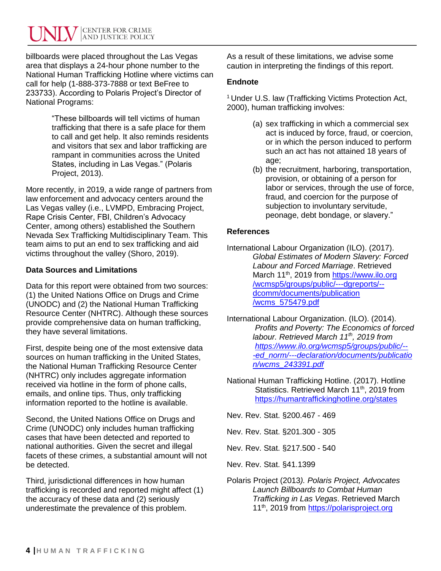billboards were placed throughout the Las Vegas area that displays a 24-hour phone number to the National Human Trafficking Hotline where victims can call for help (1-888-373-7888 or text BeFree to 233733). According to Polaris Project's Director of National Programs:

> "These billboards will tell victims of human trafficking that there is a safe place for them to call and get help. It also reminds residents and visitors that sex and labor trafficking are rampant in communities across the United States, including in Las Vegas." (Polaris Project, 2013).

More recently, in 2019, a wide range of partners from law enforcement and advocacy centers around the Las Vegas valley (i.e., LVMPD, Embracing Project, Rape Crisis Center, FBI, Children's Advocacy Center, among others) established the Southern Nevada Sex Trafficking Multidisciplinary Team. This team aims to put an end to sex trafficking and aid victims throughout the valley (Shoro, 2019).

## **Data Sources and Limitations**

Data for this report were obtained from two sources: (1) the United Nations Office on Drugs and Crime (UNODC) and (2) the National Human Trafficking Resource Center (NHTRC). Although these sources provide comprehensive data on human trafficking, they have several limitations.

First, despite being one of the most extensive data sources on human trafficking in the United States, the National Human Trafficking Resource Center (NHTRC) only includes aggregate information received via hotline in the form of phone calls, emails, and online tips. Thus, only trafficking information reported to the hotline is available.

Second, the United Nations Office on Drugs and Crime (UNODC) only includes human trafficking cases that have been detected and reported to national authorities. Given the secret and illegal facets of these crimes, a substantial amount will not be detected.

Third, jurisdictional differences in how human trafficking is recorded and reported might affect (1) the accuracy of these data and (2) seriously underestimate the prevalence of this problem.

As a result of these limitations, we advise some caution in interpreting the findings of this report.

## **Endnote**

<sup>1</sup> Under U.S. law (Trafficking Victims Protection Act, 2000), human trafficking involves:

- (a) sex trafficking in which a commercial sex act is induced by force, fraud, or coercion, or in which the person induced to perform such an act has not attained 18 years of age;
- (b) the recruitment, harboring, transportation, provision, or obtaining of a person for labor or services, through the use of force, fraud, and coercion for the purpose of subjection to involuntary servitude, peonage, debt bondage, or slavery."

# **References**

- International Labour Organization (ILO). (2017). *Global Estimates of Modern Slavery: Forced Labour and Forced Marriage*. Retrieved March 11<sup>th</sup>, 2019 from https://www.ilo.org /wcmsp5/groups/public/---dgreports/- dcomm/documents/publication /wcms\_575479.pdf
- International Labour Organization. (ILO). (2014). *Profits and Poverty: The Economics of forced labour. Retrieved March 11th , 2019 from [https://www.ilo.org/wcmsp5/groups/public/--](https://www.ilo.org/wcmsp5/groups/public/--%09%09-ed_norm/---declaration/documents/publ‌‌icati‌o‌‌%09n‌‌‌‌‌‌/‌‌wcms_243391.pdf) [-ed\\_norm/---declaration/documents/publicatio](https://www.ilo.org/wcmsp5/groups/public/--%09%09-ed_norm/---declaration/documents/publ‌‌icati‌o‌‌%09n‌‌‌‌‌‌/‌‌wcms_243391.pdf) [n/wcms\\_243391.pdf](https://www.ilo.org/wcmsp5/groups/public/--%09%09-ed_norm/---declaration/documents/publ‌‌icati‌o‌‌%09n‌‌‌‌‌‌/‌‌wcms_243391.pdf)*
- National Human Trafficking Hotline. (2017). Hotline Statistics. Retrieved March 11<sup>th</sup>, 2019 from <https://humantraffickinghotline.org/states>

Nev. Rev. Stat. §200.467 - 469

- Nev. Rev. Stat. §201.300 305
- Nev. Rev. Stat. §217.500 540
- Nev. Rev. Stat. §41.1399
- Polaris Project (2013*). Polaris Project, Advocates Launch Billboards to Combat Human Trafficking in Las Vegas*. Retrieved March 11<sup>th</sup>, 2019 from [https://polarisproject.org](https://polarisproject.org/news/press-releases/polaris-project-advocates-launch-billboards-combat-human-trafficking-las-vegas)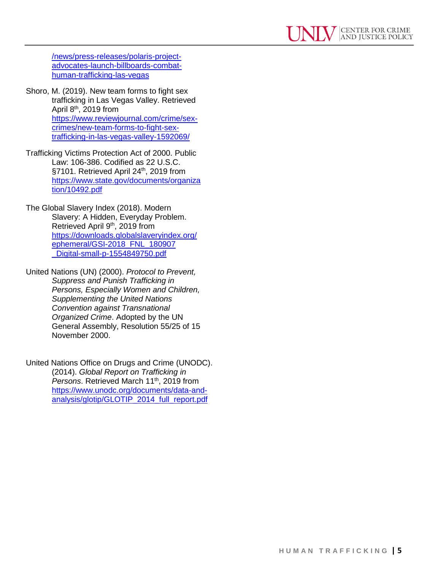[/news/press-releases/polaris-project](https://polarisproject.org/news/press-releases/polaris-project-advocates-launch-billboards-combat-human-trafficking-las-vegas)[advocates-launch-billboards-combat](https://polarisproject.org/news/press-releases/polaris-project-advocates-launch-billboards-combat-human-trafficking-las-vegas)[human-trafficking-las-vegas](https://polarisproject.org/news/press-releases/polaris-project-advocates-launch-billboards-combat-human-trafficking-las-vegas)

- Shoro, M. (2019). New team forms to fight sex trafficking in Las Vegas Valley. Retrieved April  $8<sup>th</sup>$ , 2019 from [https://www.reviewjournal.com/crime/sex](https://www.reviewjournal.com/crime/sex-crimes/new-team-forms-to-fight-sex-trafficking-in-las-vegas-valley-1592069/)[crimes/new-team-forms-to-fight-sex](https://www.reviewjournal.com/crime/sex-crimes/new-team-forms-to-fight-sex-trafficking-in-las-vegas-valley-1592069/)[trafficking-in-las-vegas-valley-1592069/](https://www.reviewjournal.com/crime/sex-crimes/new-team-forms-to-fight-sex-trafficking-in-las-vegas-valley-1592069/)
- Trafficking Victims Protection Act of 2000. Public Law: 106-386. Codified as 22 U.S.C. §7101. Retrieved April 24<sup>th</sup>, 2019 from [https://www.state.gov/documents/organiza](https://www.state.gov/documents/organization/10492.pdf) [tion/10492.pdf](https://www.state.gov/documents/organization/10492.pdf)
- The Global Slavery Index (2018). Modern Slavery: A Hidden, Everyday Problem. Retrieved April 9<sup>th</sup>, 2019 from [https://downloads.globalslaveryindex.org/](https://downloads.globalslaveryindex.org/ephemeral/GSI-2018_FNL_180907‌_Digital-small-p-1554849750.pdf) [ephemeral/GSI-2018\\_FNL\\_180907](https://downloads.globalslaveryindex.org/ephemeral/GSI-2018_FNL_180907‌_Digital-small-p-1554849750.pdf) Digital-small-p-1554849750.pdf
- United Nations (UN) (2000). *Protocol to Prevent, Suppress and Punish Trafficking in Persons, Especially Women and Children, Supplementing the United Nations Convention against Transnational Organized Crime*. Adopted by the UN General Assembly, Resolution 55/25 of 15 November 2000.
- United Nations Office on Drugs and Crime (UNODC). (2014). *Global Report on Trafficking in*  Persons. Retrieved March 11<sup>th</sup>, 2019 from [https://www.unodc.org/documents/data-and](https://www.unodc.org/documents/data-and-analysis/glotip/GLOTIP_2014_full_report.pdf)[analysis/glotip/GLOTIP\\_2014\\_full\\_report.pdf](https://www.unodc.org/documents/data-and-analysis/glotip/GLOTIP_2014_full_report.pdf)